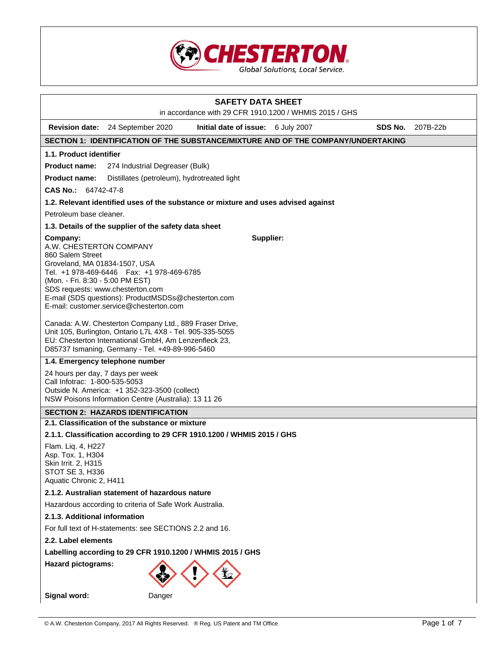

| <b>SAFETY DATA SHEET</b><br>in accordance with 29 CFR 1910.1200 / WHMIS 2015 / GHS                                                                                                                                                                                                                                              |  |  |
|---------------------------------------------------------------------------------------------------------------------------------------------------------------------------------------------------------------------------------------------------------------------------------------------------------------------------------|--|--|
| SDS No.                                                                                                                                                                                                                                                                                                                         |  |  |
| <b>Revision date:</b><br>24 September 2020<br>Initial date of issue: 6 July 2007<br>207B-22b                                                                                                                                                                                                                                    |  |  |
| SECTION 1: IDENTIFICATION OF THE SUBSTANCE/MIXTURE AND OF THE COMPANY/UNDERTAKING                                                                                                                                                                                                                                               |  |  |
| 1.1. Product identifier                                                                                                                                                                                                                                                                                                         |  |  |
| <b>Product name:</b><br>274 Industrial Degreaser (Bulk)                                                                                                                                                                                                                                                                         |  |  |
| <b>Product name:</b><br>Distillates (petroleum), hydrotreated light                                                                                                                                                                                                                                                             |  |  |
| CAS No.: 64742-47-8                                                                                                                                                                                                                                                                                                             |  |  |
| 1.2. Relevant identified uses of the substance or mixture and uses advised against                                                                                                                                                                                                                                              |  |  |
| Petroleum base cleaner.                                                                                                                                                                                                                                                                                                         |  |  |
| 1.3. Details of the supplier of the safety data sheet                                                                                                                                                                                                                                                                           |  |  |
| Supplier:<br>Company:<br>A.W. CHESTERTON COMPANY<br>860 Salem Street<br>Groveland, MA 01834-1507, USA<br>Tel. +1 978-469-6446    Fax: +1 978-469-6785<br>(Mon. - Fri. 8:30 - 5:00 PM EST)<br>SDS requests: www.chesterton.com<br>E-mail (SDS questions): ProductMSDSs@chesterton.com<br>E-mail: customer.service@chesterton.com |  |  |
| Canada: A.W. Chesterton Company Ltd., 889 Fraser Drive,<br>Unit 105, Burlington, Ontario L7L 4X8 - Tel. 905-335-5055<br>EU: Chesterton International GmbH, Am Lenzenfleck 23,<br>D85737 Ismaning, Germany - Tel. +49-89-996-5460                                                                                                |  |  |
| 1.4. Emergency telephone number                                                                                                                                                                                                                                                                                                 |  |  |
| 24 hours per day, 7 days per week<br>Call Infotrac: 1-800-535-5053<br>Outside N. America: +1 352-323-3500 (collect)<br>NSW Poisons Information Centre (Australia): 13 11 26                                                                                                                                                     |  |  |
| <b>SECTION 2: HAZARDS IDENTIFICATION</b>                                                                                                                                                                                                                                                                                        |  |  |
| 2.1. Classification of the substance or mixture                                                                                                                                                                                                                                                                                 |  |  |
| 2.1.1. Classification according to 29 CFR 1910.1200 / WHMIS 2015 / GHS                                                                                                                                                                                                                                                          |  |  |
| Flam. Lig. 4, H227<br>Asp. Tox. 1, H304<br>Skin Irrit. 2, H315<br>STOT SE 3, H336<br>Aquatic Chronic 2, H411                                                                                                                                                                                                                    |  |  |
| 2.1.2. Australian statement of hazardous nature                                                                                                                                                                                                                                                                                 |  |  |
| Hazardous according to criteria of Safe Work Australia.                                                                                                                                                                                                                                                                         |  |  |
| 2.1.3. Additional information                                                                                                                                                                                                                                                                                                   |  |  |
| For full text of H-statements: see SECTIONS 2.2 and 16.                                                                                                                                                                                                                                                                         |  |  |
| 2.2. Label elements                                                                                                                                                                                                                                                                                                             |  |  |
| Labelling according to 29 CFR 1910.1200 / WHMIS 2015 / GHS                                                                                                                                                                                                                                                                      |  |  |
| <b>Hazard pictograms:</b>                                                                                                                                                                                                                                                                                                       |  |  |
| Signal word:<br>Danger                                                                                                                                                                                                                                                                                                          |  |  |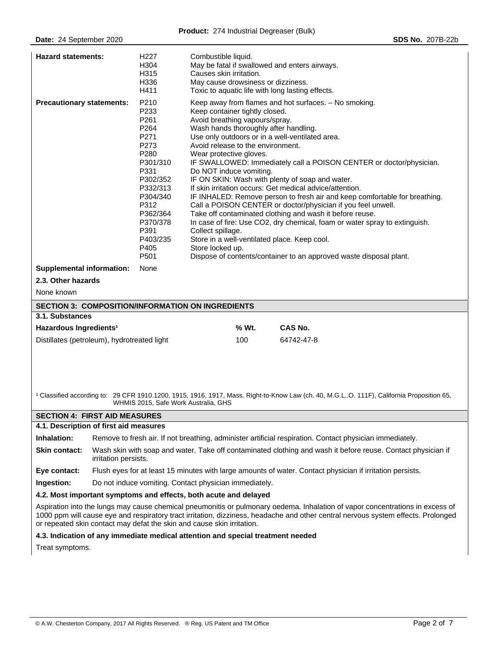| <b>Hazard statements:</b>                                | H <sub>227</sub><br>H304<br>H315<br>H336<br>H411                                                                                                                                 | Combustible liquid.<br>May be fatal if swallowed and enters airways.<br>Causes skin irritation.<br>May cause drowsiness or dizziness.<br>Toxic to aquatic life with long lasting effects.                                                                                                                                                                                                                                                                                                                                                                                                                                                                                                                                                                                                                                                                                                                                                                     |                |  |
|----------------------------------------------------------|----------------------------------------------------------------------------------------------------------------------------------------------------------------------------------|---------------------------------------------------------------------------------------------------------------------------------------------------------------------------------------------------------------------------------------------------------------------------------------------------------------------------------------------------------------------------------------------------------------------------------------------------------------------------------------------------------------------------------------------------------------------------------------------------------------------------------------------------------------------------------------------------------------------------------------------------------------------------------------------------------------------------------------------------------------------------------------------------------------------------------------------------------------|----------------|--|
| <b>Precautionary statements:</b>                         | P210<br>P233<br>P261<br>P264<br>P271<br>P273<br>P280<br>P301/310<br>P331<br>P302/352<br>P332/313<br>P304/340<br>P312<br>P362/364<br>P370/378<br>P391<br>P403/235<br>P405<br>P501 | Keep away from flames and hot surfaces. - No smoking.<br>Keep container tightly closed.<br>Avoid breathing vapours/spray.<br>Wash hands thoroughly after handling.<br>Use only outdoors or in a well-ventilated area.<br>Avoid release to the environment.<br>Wear protective gloves.<br>IF SWALLOWED: Immediately call a POISON CENTER or doctor/physician.<br>Do NOT induce vomiting.<br>IF ON SKIN: Wash with plenty of soap and water.<br>If skin irritation occurs: Get medical advice/attention.<br>IF INHALED: Remove person to fresh air and keep comfortable for breathing.<br>Call a POISON CENTER or doctor/physician if you feel unwell.<br>Take off contaminated clothing and wash it before reuse.<br>In case of fire: Use CO2, dry chemical, foam or water spray to extinguish.<br>Collect spillage.<br>Store in a well-ventilated place. Keep cool.<br>Store locked up.<br>Dispose of contents/container to an approved waste disposal plant. |                |  |
| <b>Supplemental information:</b>                         | None                                                                                                                                                                             |                                                                                                                                                                                                                                                                                                                                                                                                                                                                                                                                                                                                                                                                                                                                                                                                                                                                                                                                                               |                |  |
| 2.3. Other hazards                                       |                                                                                                                                                                                  |                                                                                                                                                                                                                                                                                                                                                                                                                                                                                                                                                                                                                                                                                                                                                                                                                                                                                                                                                               |                |  |
| None known                                               |                                                                                                                                                                                  |                                                                                                                                                                                                                                                                                                                                                                                                                                                                                                                                                                                                                                                                                                                                                                                                                                                                                                                                                               |                |  |
| <b>SECTION 3: COMPOSITION/INFORMATION ON INGREDIENTS</b> |                                                                                                                                                                                  |                                                                                                                                                                                                                                                                                                                                                                                                                                                                                                                                                                                                                                                                                                                                                                                                                                                                                                                                                               |                |  |
| 3.1. Substances                                          |                                                                                                                                                                                  |                                                                                                                                                                                                                                                                                                                                                                                                                                                                                                                                                                                                                                                                                                                                                                                                                                                                                                                                                               |                |  |
| Hazardous Ingredients <sup>1</sup>                       |                                                                                                                                                                                  | % Wt.                                                                                                                                                                                                                                                                                                                                                                                                                                                                                                                                                                                                                                                                                                                                                                                                                                                                                                                                                         | <b>CAS No.</b> |  |
| Distillates (petroleum), hydrotreated light              |                                                                                                                                                                                  | 100                                                                                                                                                                                                                                                                                                                                                                                                                                                                                                                                                                                                                                                                                                                                                                                                                                                                                                                                                           | 64742-47-8     |  |
|                                                          |                                                                                                                                                                                  |                                                                                                                                                                                                                                                                                                                                                                                                                                                                                                                                                                                                                                                                                                                                                                                                                                                                                                                                                               |                |  |

<sup>1</sup> Classified according to: 29 CFR 1910.1200, 1915, 1916, 1917, Mass. Right-to-Know Law (ch. 40, M.G.L..O. 111F), California Proposition 65, WHMIS 2015, Safe Work Australia, GHS

### **SECTION 4: FIRST AID MEASURES**

### **4.1. Description of first aid measures**

**Inhalation:** Remove to fresh air. If not breathing, administer artificial respiration. Contact physician immediately.

**Skin contact:** Wash skin with soap and water. Take off contaminated clothing and wash it before reuse. Contact physician if irritation persists.

**Eye contact:** Flush eyes for at least 15 minutes with large amounts of water. Contact physician if irritation persists.

**Ingestion:** Do not induce vomiting. Contact physician immediately.

#### **4.2. Most important symptoms and effects, both acute and delayed**

Aspiration into the lungs may cause chemical pneumonitis or pulmonary oedema. Inhalation of vapor concentrations in excess of 1000 ppm will cause eye and respiratory tract irritation, dizziness, headache and other central nervous system effects. Prolonged or repeated skin contact may defat the skin and cause skin irritation.

**4.3. Indication of any immediate medical attention and special treatment needed** 

Treat symptoms.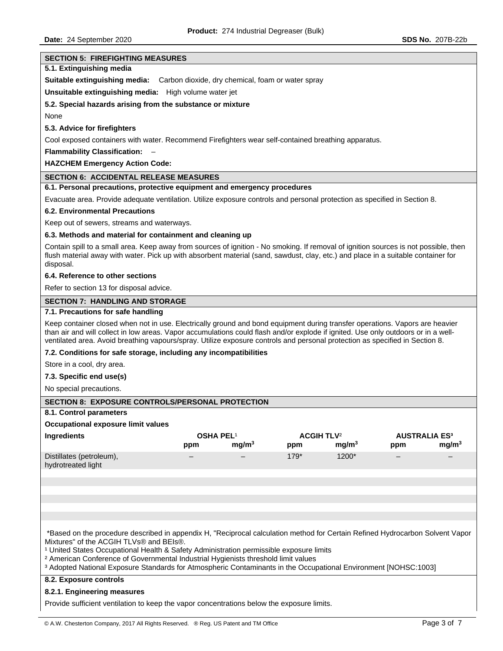# **SECTION 5: FIREFIGHTING MEASURES 5.1. Extinguishing media Suitable extinguishing media:** Carbon dioxide, dry chemical, foam or water spray **Unsuitable extinguishing media:** High volume water jet **5.2. Special hazards arising from the substance or mixture**  None **5.3. Advice for firefighters**  Cool exposed containers with water. Recommend Firefighters wear self-contained breathing apparatus. **Flammability Classification:** – **HAZCHEM Emergency Action Code: SECTION 6: ACCIDENTAL RELEASE MEASURES 6.1. Personal precautions, protective equipment and emergency procedures**  Evacuate area. Provide adequate ventilation. Utilize exposure controls and personal protection as specified in Section 8. **6.2. Environmental Precautions**  Keep out of sewers, streams and waterways. **6.3. Methods and material for containment and cleaning up**  Contain spill to a small area. Keep away from sources of ignition - No smoking. If removal of ignition sources is not possible, then flush material away with water. Pick up with absorbent material (sand, sawdust, clay, etc.) and place in a suitable container for disposal. **6.4. Reference to other sections**  Refer to section 13 for disposal advice. **SECTION 7: HANDLING AND STORAGE 7.1. Precautions for safe handling**  Keep container closed when not in use. Electrically ground and bond equipment during transfer operations. Vapors are heavier than air and will collect in low areas. Vapor accumulations could flash and/or explode if ignited. Use only outdoors or in a wellventilated area. Avoid breathing vapours/spray. Utilize exposure controls and personal protection as specified in Section 8. **7.2. Conditions for safe storage, including any incompatibilities**  Store in a cool, dry area. **7.3. Specific end use(s)**  No special precautions. **SECTION 8: EXPOSURE CONTROLS/PERSONAL PROTECTION 8.1. Control parameters Occupational exposure limit values Ingredients OSHA PEL**¹ **ACGIH TLV**² **AUSTRALIA ES³ ppm mg/m3 ppm mg/m3 ppm mg/m3** Distillates (petroleum), hydrotreated light – – 179\* 1200\* – – \*Based on the procedure described in appendix H, "Reciprocal calculation method for Certain Refined Hydrocarbon Solvent Vapor Mixtures" of the ACGIH TLVs® and BEIs®. <sup>1</sup> United States Occupational Health & Safety Administration permissible exposure limits ² American Conference of Governmental Industrial Hygienists threshold limit values ³ Adopted National Exposure Standards for Atmospheric Contaminants in the Occupational Environment [NOHSC:1003] **8.2. Exposure controls 8.2.1. Engineering measures**  Provide sufficient ventilation to keep the vapor concentrations below the exposure limits.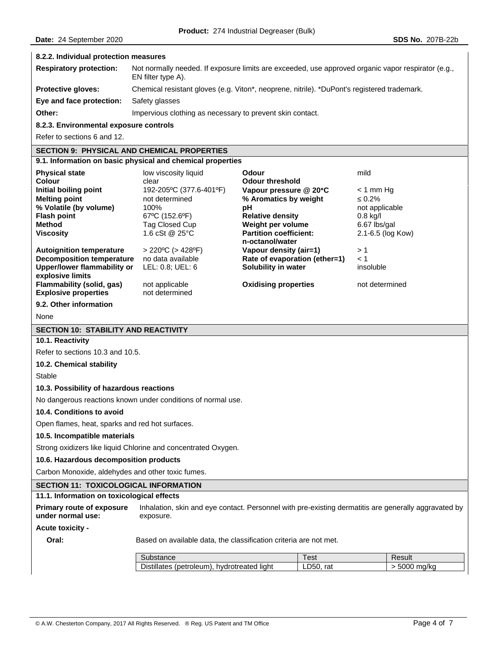#### **8.2.2. Individual protection measures**

| <b>Respiratory protection:</b> | Not normally needed. If exposure limits are exceeded, use approved organic vapor respirator (e.g.,<br>EN filter type A). |
|--------------------------------|--------------------------------------------------------------------------------------------------------------------------|
| <b>Protective gloves:</b>      | Chemical resistant gloves (e.g. Viton*, neoprene, nitrile). *DuPont's registered trademark.                              |
| Eye and face protection:       | Safety glasses                                                                                                           |
| Other:                         | Impervious clothing as necessary to prevent skin contact.                                                                |

**8.2.3. Environmental exposure controls** 

Refer to sections 6 and 12.

# **SECTION 9: PHYSICAL AND CHEMICAL PROPERTIES**

| 9.1. Information on basic physical and chemical properties |                                  |                                                  |                   |
|------------------------------------------------------------|----------------------------------|--------------------------------------------------|-------------------|
| <b>Physical state</b>                                      | low viscosity liquid             | Odour                                            | mild              |
| Colour                                                     | clear                            | <b>Odour threshold</b>                           |                   |
| Initial boiling point                                      | 192-205°C (377.6-401°F)          | Vapour pressure $@$ 20 $°C$                      | $<$ 1 mm Hq       |
| <b>Melting point</b>                                       | not determined                   | % Aromatics by weight                            | $\leq 0.2\%$      |
| % Volatile (by volume)                                     | 100%                             | рH                                               | not applicable    |
| <b>Flash point</b>                                         | 67°C (152.6°F)                   | <b>Relative density</b>                          | $0.8$ kg/l        |
| Method                                                     | Tag Closed Cup                   | Weight per volume                                | 6.67 lbs/gal      |
| <b>Viscosity</b>                                           | 1.6 cSt @ $25^{\circ}$ C         | <b>Partition coefficient:</b><br>n-octanol/water | 2.1-6.5 (log Kow) |
| <b>Autoignition temperature</b>                            | $>$ 220°C ( $>$ 428°F)           | Vapour density (air=1)                           | >1                |
| Decomposition temperature                                  | no data available                | Rate of evaporation (ether=1)                    | < 1               |
| Upper/lower flammability or                                | LEL: 0.8: UEL: 6                 | Solubility in water                              | insoluble         |
| explosive limits                                           |                                  |                                                  |                   |
| Flammability (solid, gas)<br><b>Explosive properties</b>   | not applicable<br>not determined | <b>Oxidising properties</b>                      | not determined    |

#### **9.2. Other information**

None

#### **SECTION 10: STABILITY AND REACTIVITY**

#### **10.1. Reactivity**

Refer to sections 10.3 and 10.5.

#### **10.2. Chemical stability**

Stable

#### **10.3. Possibility of hazardous reactions**

No dangerous reactions known under conditions of normal use.

#### **10.4. Conditions to avoid**

Open flames, heat, sparks and red hot surfaces.

#### **10.5. Incompatible materials**

Strong oxidizers like liquid Chlorine and concentrated Oxygen.

#### **10.6. Hazardous decomposition products**

Carbon Monoxide, aldehydes and other toxic fumes.

# **SECTION 11: TOXICOLOGICAL INFORMATION**

#### **11.1. Information on toxicological effects**

**Primary route of exposure under normal use:**  Inhalation, skin and eye contact. Personnel with pre-existing dermatitis are generally aggravated by exposure.

# **Acute toxicity -**

**Oral: Based on available data, the classification criteria are not met.** 

| Substance                                           | Test         | Result        |
|-----------------------------------------------------|--------------|---------------|
| Distillates (petroleum).<br>' liaht<br>hydrotreated | LD50.<br>rat | ma/ka<br>5000 |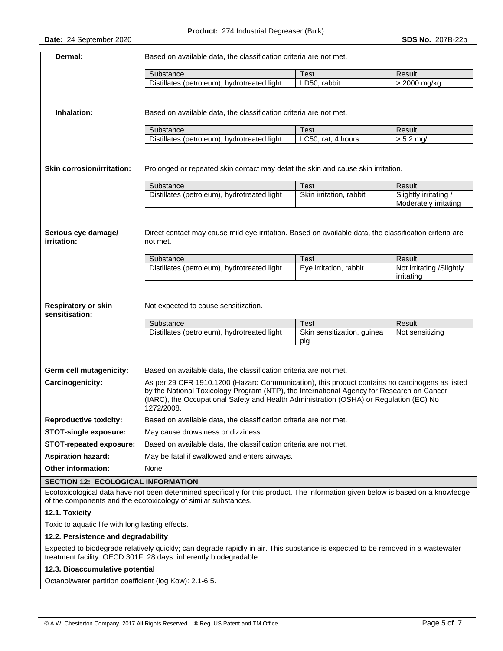| Dermal:                                                                            | Based on available data, the classification criteria are not met.                                                                                                                                                                                                                                                                                                        |                                       |                                                  |
|------------------------------------------------------------------------------------|--------------------------------------------------------------------------------------------------------------------------------------------------------------------------------------------------------------------------------------------------------------------------------------------------------------------------------------------------------------------------|---------------------------------------|--------------------------------------------------|
|                                                                                    | Substance                                                                                                                                                                                                                                                                                                                                                                | <b>Test</b>                           | Result                                           |
|                                                                                    | Distillates (petroleum), hydrotreated light                                                                                                                                                                                                                                                                                                                              | LD50, rabbit                          | > 2000 mg/kg                                     |
| Inhalation:                                                                        | Based on available data, the classification criteria are not met.                                                                                                                                                                                                                                                                                                        |                                       |                                                  |
|                                                                                    | Substance                                                                                                                                                                                                                                                                                                                                                                | <b>Test</b>                           | Result                                           |
|                                                                                    | Distillates (petroleum), hydrotreated light                                                                                                                                                                                                                                                                                                                              | LC50, rat, 4 hours                    | $> 5.2$ mg/l                                     |
| <b>Skin corrosion/irritation:</b>                                                  | Prolonged or repeated skin contact may defat the skin and cause skin irritation.                                                                                                                                                                                                                                                                                         | <b>Test</b>                           | Result                                           |
|                                                                                    | Substance<br>Distillates (petroleum), hydrotreated light                                                                                                                                                                                                                                                                                                                 | Skin irritation, rabbit               | Slightly irritating /                            |
|                                                                                    |                                                                                                                                                                                                                                                                                                                                                                          |                                       | Moderately irritating                            |
| Serious eye damage/<br>irritation:<br><b>Respiratory or skin</b><br>sensitisation: | Direct contact may cause mild eye irritation. Based on available data, the classification criteria are<br>not met.<br>Substance<br>Distillates (petroleum), hydrotreated light<br>Not expected to cause sensitization.                                                                                                                                                   | <b>Test</b><br>Eye irritation, rabbit | Result<br>Not irritating /Slightly<br>irritating |
|                                                                                    | Substance                                                                                                                                                                                                                                                                                                                                                                | <b>Test</b>                           | Result                                           |
|                                                                                    | Distillates (petroleum), hydrotreated light                                                                                                                                                                                                                                                                                                                              | Skin sensitization, guinea            | Not sensitizing                                  |
|                                                                                    |                                                                                                                                                                                                                                                                                                                                                                          | pig                                   |                                                  |
| Germ cell mutagenicity:<br>Carcinogenicity:                                        | Based on available data, the classification criteria are not met.<br>As per 29 CFR 1910.1200 (Hazard Communication), this product contains no carcinogens as listed<br>by the National Toxicology Program (NTP), the International Agency for Research on Cancer<br>(IARC), the Occupational Safety and Health Administration (OSHA) or Regulation (EC) No<br>1272/2008. |                                       |                                                  |
| <b>Reproductive toxicity:</b>                                                      | Based on available data, the classification criteria are not met.                                                                                                                                                                                                                                                                                                        |                                       |                                                  |
| STOT-single exposure:                                                              | May cause drowsiness or dizziness.                                                                                                                                                                                                                                                                                                                                       |                                       |                                                  |
| <b>STOT-repeated exposure:</b>                                                     | Based on available data, the classification criteria are not met.                                                                                                                                                                                                                                                                                                        |                                       |                                                  |
| <b>Aspiration hazard:</b>                                                          | May be fatal if swallowed and enters airways.                                                                                                                                                                                                                                                                                                                            |                                       |                                                  |
| Other information:                                                                 | None                                                                                                                                                                                                                                                                                                                                                                     |                                       |                                                  |
| SECTION 12: ECOLOGICAL INFORMATION                                                 |                                                                                                                                                                                                                                                                                                                                                                          |                                       |                                                  |

Ecotoxicological data have not been determined specifically for this product. The information given below is based on a knowledge of the components and the ecotoxicology of similar substances.

### **12.1. Toxicity**

Toxic to aquatic life with long lasting effects.

# **12.2. Persistence and degradability**

Expected to biodegrade relatively quickly; can degrade rapidly in air. This substance is expected to be removed in a wastewater treatment facility. OECD 301F, 28 days: inherently biodegradable.

# **12.3. Bioaccumulative potential**

Octanol/water partition coefficient (log Kow): 2.1-6.5.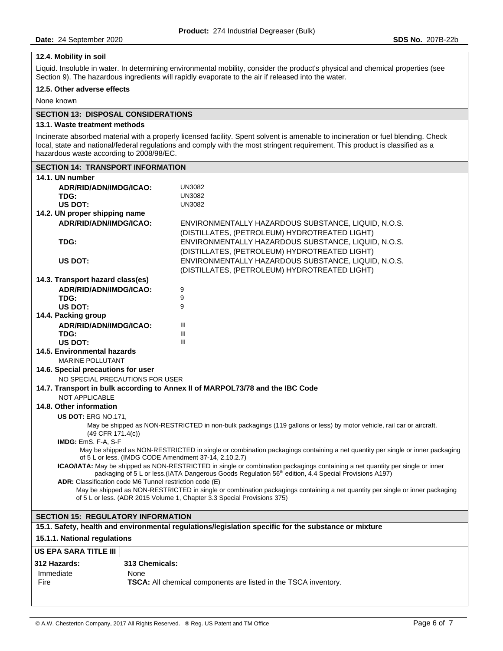### **12.4. Mobility in soil**

Liquid. Insoluble in water. In determining environmental mobility, consider the product's physical and chemical properties (see Section 9). The hazardous ingredients will rapidly evaporate to the air if released into the water.

#### **12.5. Other adverse effects**

None known

# **SECTION 13: DISPOSAL CONSIDERATIONS**

#### **13.1. Waste treatment methods**

Incinerate absorbed material with a properly licensed facility. Spent solvent is amenable to incineration or fuel blending. Check local, state and national/federal regulations and comply with the most stringent requirement. This product is classified as a hazardous waste according to 2008/98/EC.

| 14.1. UN number<br>ADR/RID/ADN/IMDG/ICAO:<br><b>UN3082</b><br><b>UN3082</b><br>TDG:<br><b>UN3082</b><br>US DOT:<br>14.2. UN proper shipping name<br>ADR/RID/ADN/IMDG/ICAO:<br>ENVIRONMENTALLY HAZARDOUS SUBSTANCE, LIQUID, N.O.S.<br>(DISTILLATES, (PETROLEUM) HYDROTREATED LIGHT)<br>TDG:<br>ENVIRONMENTALLY HAZARDOUS SUBSTANCE, LIOUID, N.O.S.<br>(DISTILLATES, (PETROLEUM) HYDROTREATED LIGHT)<br>US DOT:<br>ENVIRONMENTALLY HAZARDOUS SUBSTANCE, LIQUID, N.O.S.<br>(DISTILLATES, (PETROLEUM) HYDROTREATED LIGHT)<br>14.3. Transport hazard class(es)<br>9<br>ADR/RID/ADN/IMDG/ICAO:<br>9<br>TDG:<br>9<br>US DOT:<br>14.4. Packing group<br>Ш<br>ADR/RID/ADN/IMDG/ICAO:<br>Ш<br>TDG:<br>Ш<br>US DOT:<br>14.5. Environmental hazards<br><b>MARINE POLLUTANT</b><br>14.6. Special precautions for user<br>NO SPECIAL PRECAUTIONS FOR USER<br>14.7. Transport in bulk according to Annex II of MARPOL73/78 and the IBC Code<br><b>NOT APPLICABLE</b><br>14.8. Other information<br><b>US DOT: ERG NO.171.</b><br>May be shipped as NON-RESTRICTED in non-bulk packagings (119 gallons or less) by motor vehicle, rail car or aircraft.<br>$(49$ CFR $171.4(c)$ )<br>IMDG: EmS. F-A, S-F<br>May be shipped as NON-RESTRICTED in single or combination packagings containing a net quantity per single or inner packaging<br>of 5 L or less. (IMDG CODE Amendment 37-14, 2.10.2.7)<br>ICAO/IATA: May be shipped as NON-RESTRICTED in single or combination packagings containing a net quantity per single or inner<br>packaging of 5 L or less.(IATA Dangerous Goods Regulation 56 <sup>th</sup> edition, 4.4 Special Provisions A197)<br>ADR: Classification code M6 Tunnel restriction code (E)<br>May be shipped as NON-RESTRICTED in single or combination packagings containing a net quantity per single or inner packaging<br>of 5 L or less. (ADR 2015 Volume 1, Chapter 3.3 Special Provisions 375)<br><b>SECTION 15: REGULATORY INFORMATION</b><br>15.1. Safety, health and environmental regulations/legislation specific for the substance or mixture<br>15.1.1. National regulations<br>313 Chemicals: | <b>SECTION 14: TRANSPORT INFORMATION</b> |  |  |
|---------------------------------------------------------------------------------------------------------------------------------------------------------------------------------------------------------------------------------------------------------------------------------------------------------------------------------------------------------------------------------------------------------------------------------------------------------------------------------------------------------------------------------------------------------------------------------------------------------------------------------------------------------------------------------------------------------------------------------------------------------------------------------------------------------------------------------------------------------------------------------------------------------------------------------------------------------------------------------------------------------------------------------------------------------------------------------------------------------------------------------------------------------------------------------------------------------------------------------------------------------------------------------------------------------------------------------------------------------------------------------------------------------------------------------------------------------------------------------------------------------------------------------------------------------------------------------------------------------------------------------------------------------------------------------------------------------------------------------------------------------------------------------------------------------------------------------------------------------------------------------------------------------------------------------------------------------------------------------------------------------------------------------------------------------------------------------------------------------------------|------------------------------------------|--|--|
|                                                                                                                                                                                                                                                                                                                                                                                                                                                                                                                                                                                                                                                                                                                                                                                                                                                                                                                                                                                                                                                                                                                                                                                                                                                                                                                                                                                                                                                                                                                                                                                                                                                                                                                                                                                                                                                                                                                                                                                                                                                                                                                     |                                          |  |  |
|                                                                                                                                                                                                                                                                                                                                                                                                                                                                                                                                                                                                                                                                                                                                                                                                                                                                                                                                                                                                                                                                                                                                                                                                                                                                                                                                                                                                                                                                                                                                                                                                                                                                                                                                                                                                                                                                                                                                                                                                                                                                                                                     |                                          |  |  |
|                                                                                                                                                                                                                                                                                                                                                                                                                                                                                                                                                                                                                                                                                                                                                                                                                                                                                                                                                                                                                                                                                                                                                                                                                                                                                                                                                                                                                                                                                                                                                                                                                                                                                                                                                                                                                                                                                                                                                                                                                                                                                                                     |                                          |  |  |
|                                                                                                                                                                                                                                                                                                                                                                                                                                                                                                                                                                                                                                                                                                                                                                                                                                                                                                                                                                                                                                                                                                                                                                                                                                                                                                                                                                                                                                                                                                                                                                                                                                                                                                                                                                                                                                                                                                                                                                                                                                                                                                                     |                                          |  |  |
|                                                                                                                                                                                                                                                                                                                                                                                                                                                                                                                                                                                                                                                                                                                                                                                                                                                                                                                                                                                                                                                                                                                                                                                                                                                                                                                                                                                                                                                                                                                                                                                                                                                                                                                                                                                                                                                                                                                                                                                                                                                                                                                     |                                          |  |  |
|                                                                                                                                                                                                                                                                                                                                                                                                                                                                                                                                                                                                                                                                                                                                                                                                                                                                                                                                                                                                                                                                                                                                                                                                                                                                                                                                                                                                                                                                                                                                                                                                                                                                                                                                                                                                                                                                                                                                                                                                                                                                                                                     |                                          |  |  |
|                                                                                                                                                                                                                                                                                                                                                                                                                                                                                                                                                                                                                                                                                                                                                                                                                                                                                                                                                                                                                                                                                                                                                                                                                                                                                                                                                                                                                                                                                                                                                                                                                                                                                                                                                                                                                                                                                                                                                                                                                                                                                                                     |                                          |  |  |
|                                                                                                                                                                                                                                                                                                                                                                                                                                                                                                                                                                                                                                                                                                                                                                                                                                                                                                                                                                                                                                                                                                                                                                                                                                                                                                                                                                                                                                                                                                                                                                                                                                                                                                                                                                                                                                                                                                                                                                                                                                                                                                                     |                                          |  |  |
|                                                                                                                                                                                                                                                                                                                                                                                                                                                                                                                                                                                                                                                                                                                                                                                                                                                                                                                                                                                                                                                                                                                                                                                                                                                                                                                                                                                                                                                                                                                                                                                                                                                                                                                                                                                                                                                                                                                                                                                                                                                                                                                     |                                          |  |  |
|                                                                                                                                                                                                                                                                                                                                                                                                                                                                                                                                                                                                                                                                                                                                                                                                                                                                                                                                                                                                                                                                                                                                                                                                                                                                                                                                                                                                                                                                                                                                                                                                                                                                                                                                                                                                                                                                                                                                                                                                                                                                                                                     |                                          |  |  |
|                                                                                                                                                                                                                                                                                                                                                                                                                                                                                                                                                                                                                                                                                                                                                                                                                                                                                                                                                                                                                                                                                                                                                                                                                                                                                                                                                                                                                                                                                                                                                                                                                                                                                                                                                                                                                                                                                                                                                                                                                                                                                                                     |                                          |  |  |
|                                                                                                                                                                                                                                                                                                                                                                                                                                                                                                                                                                                                                                                                                                                                                                                                                                                                                                                                                                                                                                                                                                                                                                                                                                                                                                                                                                                                                                                                                                                                                                                                                                                                                                                                                                                                                                                                                                                                                                                                                                                                                                                     |                                          |  |  |
|                                                                                                                                                                                                                                                                                                                                                                                                                                                                                                                                                                                                                                                                                                                                                                                                                                                                                                                                                                                                                                                                                                                                                                                                                                                                                                                                                                                                                                                                                                                                                                                                                                                                                                                                                                                                                                                                                                                                                                                                                                                                                                                     |                                          |  |  |
|                                                                                                                                                                                                                                                                                                                                                                                                                                                                                                                                                                                                                                                                                                                                                                                                                                                                                                                                                                                                                                                                                                                                                                                                                                                                                                                                                                                                                                                                                                                                                                                                                                                                                                                                                                                                                                                                                                                                                                                                                                                                                                                     |                                          |  |  |
|                                                                                                                                                                                                                                                                                                                                                                                                                                                                                                                                                                                                                                                                                                                                                                                                                                                                                                                                                                                                                                                                                                                                                                                                                                                                                                                                                                                                                                                                                                                                                                                                                                                                                                                                                                                                                                                                                                                                                                                                                                                                                                                     |                                          |  |  |
|                                                                                                                                                                                                                                                                                                                                                                                                                                                                                                                                                                                                                                                                                                                                                                                                                                                                                                                                                                                                                                                                                                                                                                                                                                                                                                                                                                                                                                                                                                                                                                                                                                                                                                                                                                                                                                                                                                                                                                                                                                                                                                                     |                                          |  |  |
|                                                                                                                                                                                                                                                                                                                                                                                                                                                                                                                                                                                                                                                                                                                                                                                                                                                                                                                                                                                                                                                                                                                                                                                                                                                                                                                                                                                                                                                                                                                                                                                                                                                                                                                                                                                                                                                                                                                                                                                                                                                                                                                     |                                          |  |  |
|                                                                                                                                                                                                                                                                                                                                                                                                                                                                                                                                                                                                                                                                                                                                                                                                                                                                                                                                                                                                                                                                                                                                                                                                                                                                                                                                                                                                                                                                                                                                                                                                                                                                                                                                                                                                                                                                                                                                                                                                                                                                                                                     |                                          |  |  |
|                                                                                                                                                                                                                                                                                                                                                                                                                                                                                                                                                                                                                                                                                                                                                                                                                                                                                                                                                                                                                                                                                                                                                                                                                                                                                                                                                                                                                                                                                                                                                                                                                                                                                                                                                                                                                                                                                                                                                                                                                                                                                                                     |                                          |  |  |
|                                                                                                                                                                                                                                                                                                                                                                                                                                                                                                                                                                                                                                                                                                                                                                                                                                                                                                                                                                                                                                                                                                                                                                                                                                                                                                                                                                                                                                                                                                                                                                                                                                                                                                                                                                                                                                                                                                                                                                                                                                                                                                                     |                                          |  |  |
|                                                                                                                                                                                                                                                                                                                                                                                                                                                                                                                                                                                                                                                                                                                                                                                                                                                                                                                                                                                                                                                                                                                                                                                                                                                                                                                                                                                                                                                                                                                                                                                                                                                                                                                                                                                                                                                                                                                                                                                                                                                                                                                     |                                          |  |  |
|                                                                                                                                                                                                                                                                                                                                                                                                                                                                                                                                                                                                                                                                                                                                                                                                                                                                                                                                                                                                                                                                                                                                                                                                                                                                                                                                                                                                                                                                                                                                                                                                                                                                                                                                                                                                                                                                                                                                                                                                                                                                                                                     |                                          |  |  |
|                                                                                                                                                                                                                                                                                                                                                                                                                                                                                                                                                                                                                                                                                                                                                                                                                                                                                                                                                                                                                                                                                                                                                                                                                                                                                                                                                                                                                                                                                                                                                                                                                                                                                                                                                                                                                                                                                                                                                                                                                                                                                                                     |                                          |  |  |
|                                                                                                                                                                                                                                                                                                                                                                                                                                                                                                                                                                                                                                                                                                                                                                                                                                                                                                                                                                                                                                                                                                                                                                                                                                                                                                                                                                                                                                                                                                                                                                                                                                                                                                                                                                                                                                                                                                                                                                                                                                                                                                                     |                                          |  |  |
|                                                                                                                                                                                                                                                                                                                                                                                                                                                                                                                                                                                                                                                                                                                                                                                                                                                                                                                                                                                                                                                                                                                                                                                                                                                                                                                                                                                                                                                                                                                                                                                                                                                                                                                                                                                                                                                                                                                                                                                                                                                                                                                     |                                          |  |  |
|                                                                                                                                                                                                                                                                                                                                                                                                                                                                                                                                                                                                                                                                                                                                                                                                                                                                                                                                                                                                                                                                                                                                                                                                                                                                                                                                                                                                                                                                                                                                                                                                                                                                                                                                                                                                                                                                                                                                                                                                                                                                                                                     |                                          |  |  |
|                                                                                                                                                                                                                                                                                                                                                                                                                                                                                                                                                                                                                                                                                                                                                                                                                                                                                                                                                                                                                                                                                                                                                                                                                                                                                                                                                                                                                                                                                                                                                                                                                                                                                                                                                                                                                                                                                                                                                                                                                                                                                                                     |                                          |  |  |
|                                                                                                                                                                                                                                                                                                                                                                                                                                                                                                                                                                                                                                                                                                                                                                                                                                                                                                                                                                                                                                                                                                                                                                                                                                                                                                                                                                                                                                                                                                                                                                                                                                                                                                                                                                                                                                                                                                                                                                                                                                                                                                                     |                                          |  |  |
|                                                                                                                                                                                                                                                                                                                                                                                                                                                                                                                                                                                                                                                                                                                                                                                                                                                                                                                                                                                                                                                                                                                                                                                                                                                                                                                                                                                                                                                                                                                                                                                                                                                                                                                                                                                                                                                                                                                                                                                                                                                                                                                     |                                          |  |  |
|                                                                                                                                                                                                                                                                                                                                                                                                                                                                                                                                                                                                                                                                                                                                                                                                                                                                                                                                                                                                                                                                                                                                                                                                                                                                                                                                                                                                                                                                                                                                                                                                                                                                                                                                                                                                                                                                                                                                                                                                                                                                                                                     |                                          |  |  |
|                                                                                                                                                                                                                                                                                                                                                                                                                                                                                                                                                                                                                                                                                                                                                                                                                                                                                                                                                                                                                                                                                                                                                                                                                                                                                                                                                                                                                                                                                                                                                                                                                                                                                                                                                                                                                                                                                                                                                                                                                                                                                                                     |                                          |  |  |
|                                                                                                                                                                                                                                                                                                                                                                                                                                                                                                                                                                                                                                                                                                                                                                                                                                                                                                                                                                                                                                                                                                                                                                                                                                                                                                                                                                                                                                                                                                                                                                                                                                                                                                                                                                                                                                                                                                                                                                                                                                                                                                                     |                                          |  |  |
|                                                                                                                                                                                                                                                                                                                                                                                                                                                                                                                                                                                                                                                                                                                                                                                                                                                                                                                                                                                                                                                                                                                                                                                                                                                                                                                                                                                                                                                                                                                                                                                                                                                                                                                                                                                                                                                                                                                                                                                                                                                                                                                     |                                          |  |  |
|                                                                                                                                                                                                                                                                                                                                                                                                                                                                                                                                                                                                                                                                                                                                                                                                                                                                                                                                                                                                                                                                                                                                                                                                                                                                                                                                                                                                                                                                                                                                                                                                                                                                                                                                                                                                                                                                                                                                                                                                                                                                                                                     |                                          |  |  |
|                                                                                                                                                                                                                                                                                                                                                                                                                                                                                                                                                                                                                                                                                                                                                                                                                                                                                                                                                                                                                                                                                                                                                                                                                                                                                                                                                                                                                                                                                                                                                                                                                                                                                                                                                                                                                                                                                                                                                                                                                                                                                                                     |                                          |  |  |
|                                                                                                                                                                                                                                                                                                                                                                                                                                                                                                                                                                                                                                                                                                                                                                                                                                                                                                                                                                                                                                                                                                                                                                                                                                                                                                                                                                                                                                                                                                                                                                                                                                                                                                                                                                                                                                                                                                                                                                                                                                                                                                                     |                                          |  |  |
|                                                                                                                                                                                                                                                                                                                                                                                                                                                                                                                                                                                                                                                                                                                                                                                                                                                                                                                                                                                                                                                                                                                                                                                                                                                                                                                                                                                                                                                                                                                                                                                                                                                                                                                                                                                                                                                                                                                                                                                                                                                                                                                     |                                          |  |  |
|                                                                                                                                                                                                                                                                                                                                                                                                                                                                                                                                                                                                                                                                                                                                                                                                                                                                                                                                                                                                                                                                                                                                                                                                                                                                                                                                                                                                                                                                                                                                                                                                                                                                                                                                                                                                                                                                                                                                                                                                                                                                                                                     |                                          |  |  |
|                                                                                                                                                                                                                                                                                                                                                                                                                                                                                                                                                                                                                                                                                                                                                                                                                                                                                                                                                                                                                                                                                                                                                                                                                                                                                                                                                                                                                                                                                                                                                                                                                                                                                                                                                                                                                                                                                                                                                                                                                                                                                                                     |                                          |  |  |
|                                                                                                                                                                                                                                                                                                                                                                                                                                                                                                                                                                                                                                                                                                                                                                                                                                                                                                                                                                                                                                                                                                                                                                                                                                                                                                                                                                                                                                                                                                                                                                                                                                                                                                                                                                                                                                                                                                                                                                                                                                                                                                                     |                                          |  |  |
|                                                                                                                                                                                                                                                                                                                                                                                                                                                                                                                                                                                                                                                                                                                                                                                                                                                                                                                                                                                                                                                                                                                                                                                                                                                                                                                                                                                                                                                                                                                                                                                                                                                                                                                                                                                                                                                                                                                                                                                                                                                                                                                     | US EPA SARA TITLE III                    |  |  |
|                                                                                                                                                                                                                                                                                                                                                                                                                                                                                                                                                                                                                                                                                                                                                                                                                                                                                                                                                                                                                                                                                                                                                                                                                                                                                                                                                                                                                                                                                                                                                                                                                                                                                                                                                                                                                                                                                                                                                                                                                                                                                                                     | 312 Hazards:                             |  |  |
| Immediate<br>None                                                                                                                                                                                                                                                                                                                                                                                                                                                                                                                                                                                                                                                                                                                                                                                                                                                                                                                                                                                                                                                                                                                                                                                                                                                                                                                                                                                                                                                                                                                                                                                                                                                                                                                                                                                                                                                                                                                                                                                                                                                                                                   |                                          |  |  |
| Fire<br><b>TSCA:</b> All chemical components are listed in the TSCA inventory.                                                                                                                                                                                                                                                                                                                                                                                                                                                                                                                                                                                                                                                                                                                                                                                                                                                                                                                                                                                                                                                                                                                                                                                                                                                                                                                                                                                                                                                                                                                                                                                                                                                                                                                                                                                                                                                                                                                                                                                                                                      |                                          |  |  |